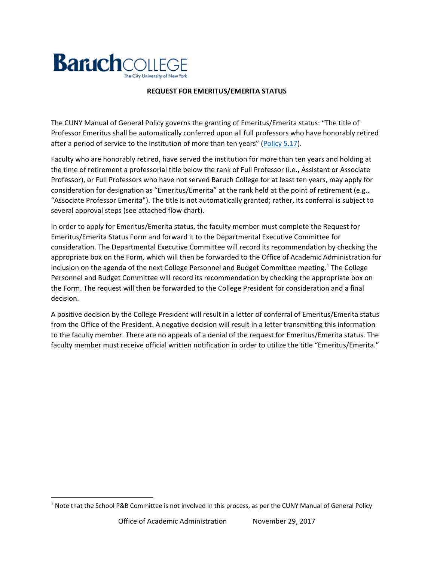

## **REQUEST FOR EMERITUS/EMERITA STATUS**

The CUNY Manual of General Policy governs the granting of Emeritus/Emerita status: "The title of Professor Emeritus shall be automatically conferred upon all full professors who have honorably retired after a period of service to the institution of more than ten years" [\(Policy 5.17\)](http://policy.cuny.edu/manual_of_general_policy/article_v/policy_5.17/pdf/#Navigation_Location).

Faculty who are honorably retired, have served the institution for more than ten years and holding at the time of retirement a professorial title below the rank of Full Professor (i.e., Assistant or Associate Professor), or Full Professors who have not served Baruch College for at least ten years, may apply for consideration for designation as "Emeritus/Emerita" at the rank held at the point of retirement (e.g., "Associate Professor Emerita"). The title is not automatically granted; rather, its conferral is subject to several approval steps (see attached flow chart).

In order to apply for Emeritus/Emerita status, the faculty member must complete the Request for Emeritus/Emerita Status Form and forward it to the Departmental Executive Committee for consideration. The Departmental Executive Committee will record its recommendation by checking the appropriate box on the Form, which will then be forwarded to the Office of Academic Administration for inclusion on the agenda of the next College Personnel and Budget Committee meeting.<sup>[1](#page-0-0)</sup> The College Personnel and Budget Committee will record its recommendation by checking the appropriate box on the Form. The request will then be forwarded to the College President for consideration and a final decision.

A positive decision by the College President will result in a letter of conferral of Emeritus/Emerita status from the Office of the President. A negative decision will result in a letter transmitting this information to the faculty member. There are no appeals of a denial of the request for Emeritus/Emerita status. The faculty member must receive official written notification in order to utilize the title "Emeritus/Emerita."

<span id="page-0-0"></span><sup>&</sup>lt;sup>1</sup> Note that the School P&B Committee is not involved in this process, as per the CUNY Manual of General Policy